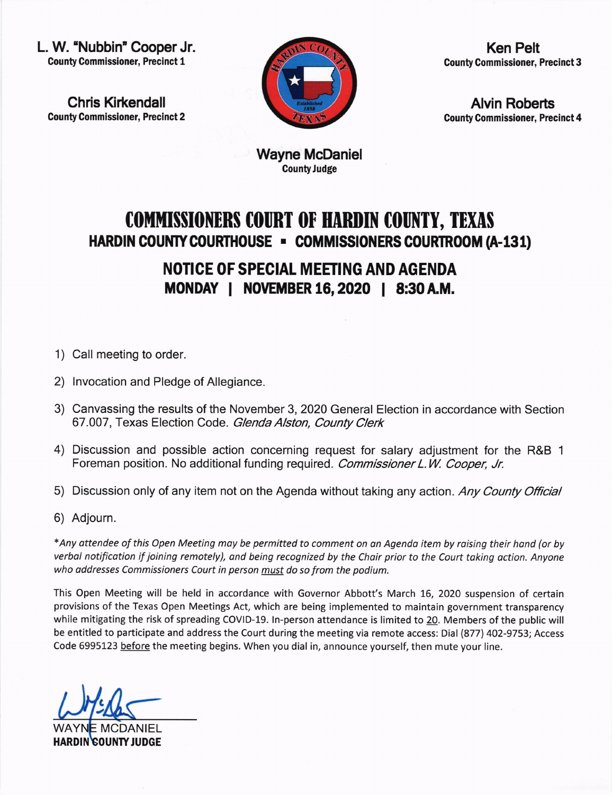L. W. 'Nubbin" Cooper Jr. County Commissioner, Precinct 1

Chris Kirkendall County Commissioner, Precinct 2



Ken Pelt Gounty Commissioner, Precinct 3

Alvin Roberts County Gommissioner, Precinct 4

Wayne McDaniel **County Judge** 

## COMMISSIONERS COURT OF HARDIN COUNTY, TEXAS HARDIN COUNTY COURTHOUSE - COMMISSIONERS COURTROOM (A-131)

NOTICE OF SPECIAL MEETING AND AGENDA MONDAY | NOVEMBER 16, 2020 | 8:30 A.M.

- 1) Call meeting to order.
- 2) lnvocation and Pledge of Allegiance
- 3) Canvassing the results of the November 3,2020 General Election in accordance with Section 67.007, Texas Election Code. Glenda Alston, County Clerk
- 4) Discussion and possible action concerning request for salary adjustment for the R&B <sup>1</sup> Foreman position. No additional funding required. Commissioner L.W. Cooper, Jr.
- 5) Discussion only of any item not on the Agenda without taking any action. Any County Official
- 6) Adjourn

\*Any ottendee of this Open Meeting may be permitted to comment on on Agenda item by roising their hond (or by verbol notificotion if joining remotely), and being recognized by the Choir prior to the Court taking action. Anyone who addresses Commissioners Court in person must do so from the podium.

This Open Meeting will be held in accordance with Governor Abbott's March 16, 2020 suspension of certain provisions of the Texas Open Meetings Act, which are being implemented to maintain government transparency while mitigating the risk of spreading COVID-19. ln-person attendance is limited to 20. Members of the public will be entitled to participate and address the Court during the meeting via remote access: Dial (877) 402-9753; Access Code 6995123 before the meeting begins. When you dial in, announce yourself, then mute your line.

WAYNE MCDANIEL HARDIN COUNTY JUDGE